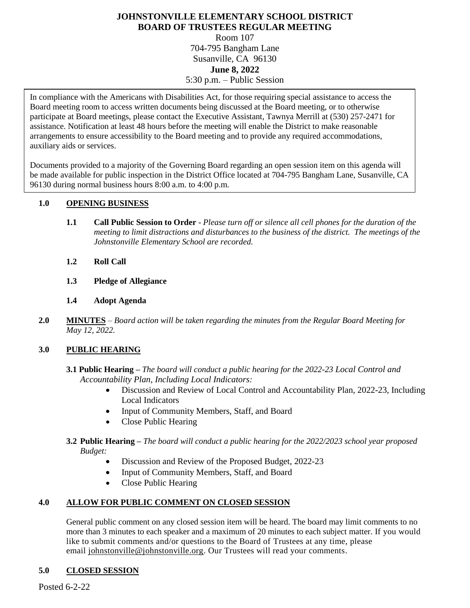# **JOHNSTONVILLE ELEMENTARY SCHOOL DISTRICT BOARD OF TRUSTEES REGULAR MEETING**

Room 107 704-795 Bangham Lane Susanville, CA 96130 **June 8, 2022** 5:30 p.m. – Public Session

arrangements to ensure accessibility to the Board meeting and to provide any required accommodations, In compliance with the Americans with Disabilities Act, for those requiring special assistance to access the Board meeting room to access written documents being discussed at the Board meeting, or to otherwise participate at Board meetings, please contact the Executive Assistant, Tawnya Merrill at (530) 257-2471 for assistance. Notification at least 48 hours before the meeting will enable the District to make reasonable auxiliary aids or services.

Documents provided to a majority of the Governing Board regarding an open session item on this agenda will be made available for public inspection in the District Office located at 704-795 Bangham Lane, Susanville, CA 96130 during normal business hours 8:00 a.m. to 4:00 p.m.

#### **1.0 OPENING BUSINESS**

- **1.1 Call Public Session to Order** *Please turn off or silence all cell phones for the duration of the meeting to limit distractions and disturbances to the business of the district. The meetings of the Johnstonville Elementary School are recorded.*
- **1.2 Roll Call**
- **1.3 Pledge of Allegiance**
- **1.4 Adopt Agenda**
- **2.0 MINUTES** *Board action will be taken regarding the minutes from the Regular Board Meeting for May 12, 2022.*

#### **3.0 PUBLIC HEARING**

- **3.1 Public Hearing –** *The board will conduct a public hearing for the 2022-23 Local Control and Accountability Plan, Including Local Indicators:* 
	- Discussion and Review of Local Control and Accountability Plan, 2022-23, Including Local Indicators
	- Input of Community Members, Staff, and Board
	- Close Public Hearing
- **3.2 Public Hearing –** *The board will conduct a public hearing for the 2022/2023 school year proposed Budget:*
	- Discussion and Review of the Proposed Budget, 2022-23
	- Input of Community Members, Staff, and Board
	- Close Public Hearing

## **4.0 ALLOW FOR PUBLIC COMMENT ON CLOSED SESSION**

General public comment on any closed session item will be heard. The board may limit comments to no more than 3 minutes to each speaker and a maximum of 20 minutes to each subject matter. If you would like to submit comments and/or questions to the Board of Trustees at any time, please email [johnstonville@johnstonville.org.](mailto:johnstonville@johnstonville.org) Our Trustees will read your comments.

## **5.0 CLOSED SESSION**

Posted 6-2-22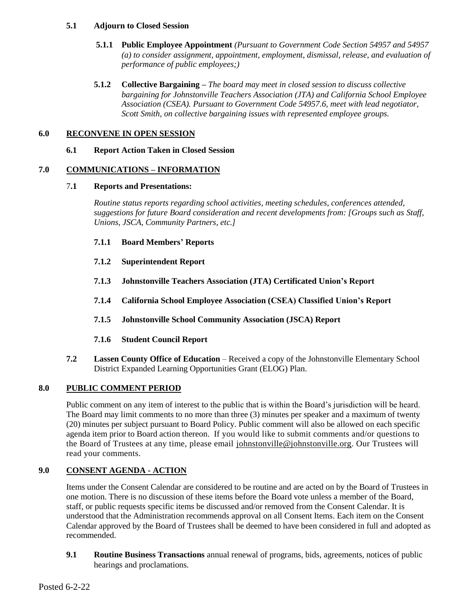#### **5.1 Adjourn to Closed Session**

- **5.1.1 Public Employee Appointment** *(Pursuant to Government Code Section 54957 and 54957 (a) to consider assignment, appointment, employment, dismissal, release, and evaluation of performance of public employees;)*
- **5.1.2 Collective Bargaining –** *The board may meet in closed session to discuss collective bargaining for Johnstonville Teachers Association (JTA) and California School Employee Association (CSEA). Pursuant to Government Code 54957.6, meet with lead negotiator, Scott Smith, on collective bargaining issues with represented employee groups.*

## **6.0 RECONVENE IN OPEN SESSION**

**6.1 Report Action Taken in Closed Session**

## **7.0 COMMUNICATIONS – INFORMATION**

#### 7**.1 Reports and Presentations:**

*Routine status reports regarding school activities, meeting schedules, conferences attended, suggestions for future Board consideration and recent developments from: [Groups such as Staff, Unions, JSCA, Community Partners, etc.]*

- **7.1.1 Board Members' Reports**
- **7.1.2 Superintendent Report**
- **7.1.3 Johnstonville Teachers Association (JTA) Certificated Union's Report**
- **7.1.4 California School Employee Association (CSEA) Classified Union's Report**
- **7.1.5 Johnstonville School Community Association (JSCA) Report**
- **7.1.6 Student Council Report**
- **7.2 Lassen County Office of Education** Received a copy of the Johnstonville Elementary School District Expanded Learning Opportunities Grant (ELOG) Plan.

# **8.0 PUBLIC COMMENT PERIOD**

Public comment on any item of interest to the public that is within the Board's jurisdiction will be heard. The Board may limit comments to no more than three (3) minutes per speaker and a maximum of twenty (20) minutes per subject pursuant to Board Policy. Public comment will also be allowed on each specific agenda item prior to Board action thereon. If you would like to submit comments and/or questions to the Board of Trustees at any time, please email [johnstonville@johnstonville.org.](mailto:johnstonville@johnstonville.org) Our Trustees will read your comments.

# **9.0 CONSENT AGENDA - ACTION**

Items under the Consent Calendar are considered to be routine and are acted on by the Board of Trustees in one motion. There is no discussion of these items before the Board vote unless a member of the Board, staff, or public requests specific items be discussed and/or removed from the Consent Calendar. It is understood that the Administration recommends approval on all Consent Items. Each item on the Consent Calendar approved by the Board of Trustees shall be deemed to have been considered in full and adopted as recommended.

**9.1 Routine Business Transactions** annual renewal of programs, bids, agreements, notices of public hearings and proclamations.